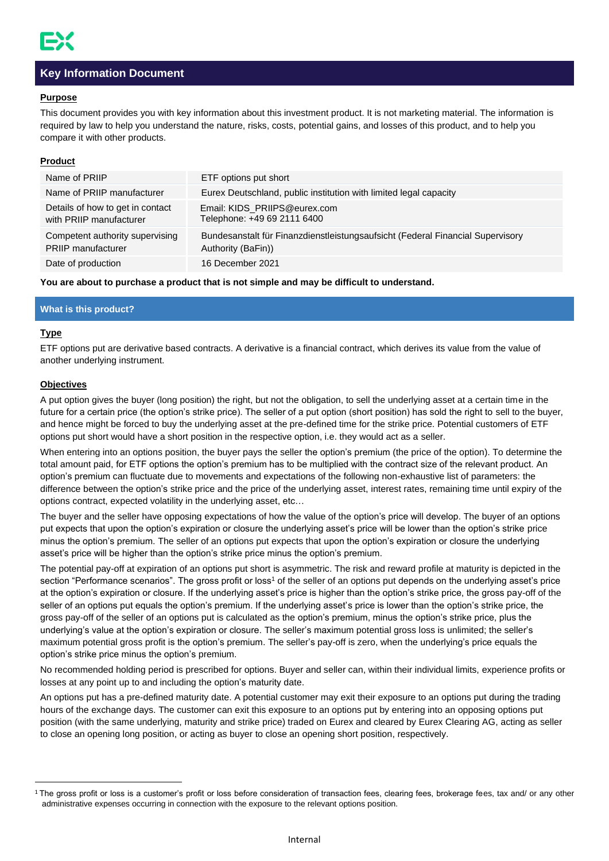

# **Key Information Document**

### **Purpose**

This document provides you with key information about this investment product. It is not marketing material. The information is required by law to help you understand the nature, risks, costs, potential gains, and losses of this product, and to help you compare it with other products.

# **Product**

| Name of PRIIP                                                | ETF options put short                                                                                |
|--------------------------------------------------------------|------------------------------------------------------------------------------------------------------|
| Name of PRIIP manufacturer                                   | Eurex Deutschland, public institution with limited legal capacity                                    |
| Details of how to get in contact<br>with PRIIP manufacturer  | Email: KIDS PRIIPS@eurex.com<br>Telephone: +49 69 2111 6400                                          |
| Competent authority supervising<br><b>PRIIP</b> manufacturer | Bundesanstalt für Finanzdienstleistungsaufsicht (Federal Financial Supervisory<br>Authority (BaFin)) |
| Date of production                                           | 16 December 2021                                                                                     |

**You are about to purchase a product that is not simple and may be difficult to understand.**

### **What is this product?**

# **Type**

ETF options put are derivative based contracts. A derivative is a financial contract, which derives its value from the value of another underlying instrument.

# **Objectives**

A put option gives the buyer (long position) the right, but not the obligation, to sell the underlying asset at a certain time in the future for a certain price (the option's strike price). The seller of a put option (short position) has sold the right to sell to the buyer, and hence might be forced to buy the underlying asset at the pre-defined time for the strike price. Potential customers of ETF options put short would have a short position in the respective option, i.e. they would act as a seller.

When entering into an options position, the buyer pays the seller the option's premium (the price of the option). To determine the total amount paid, for ETF options the option's premium has to be multiplied with the contract size of the relevant product. An option's premium can fluctuate due to movements and expectations of the following non-exhaustive list of parameters: the difference between the option's strike price and the price of the underlying asset, interest rates, remaining time until expiry of the options contract, expected volatility in the underlying asset, etc…

The buyer and the seller have opposing expectations of how the value of the option's price will develop. The buyer of an options put expects that upon the option's expiration or closure the underlying asset's price will be lower than the option's strike price minus the option's premium. The seller of an options put expects that upon the option's expiration or closure the underlying asset's price will be higher than the option's strike price minus the option's premium.

The potential pay-off at expiration of an options put short is asymmetric. The risk and reward profile at maturity is depicted in the section "Performance scenarios". The gross profit or loss<sup>1</sup> of the seller of an options put depends on the underlying asset's price at the option's expiration or closure. If the underlying asset's price is higher than the option's strike price, the gross pay-off of the seller of an options put equals the option's premium. If the underlying asset's price is lower than the option's strike price, the gross pay-off of the seller of an options put is calculated as the option's premium, minus the option's strike price, plus the underlying's value at the option's expiration or closure. The seller's maximum potential gross loss is unlimited; the seller's maximum potential gross profit is the option's premium. The seller's pay-off is zero, when the underlying's price equals the option's strike price minus the option's premium.

No recommended holding period is prescribed for options. Buyer and seller can, within their individual limits, experience profits or losses at any point up to and including the option's maturity date.

An options put has a pre-defined maturity date. A potential customer may exit their exposure to an options put during the trading hours of the exchange days. The customer can exit this exposure to an options put by entering into an opposing options put position (with the same underlying, maturity and strike price) traded on Eurex and cleared by Eurex Clearing AG, acting as seller to close an opening long position, or acting as buyer to close an opening short position, respectively.

<sup>&</sup>lt;sup>1</sup> The gross profit or loss is a customer's profit or loss before consideration of transaction fees, clearing fees, brokerage fees, tax and/ or any other administrative expenses occurring in connection with the exposure to the relevant options position.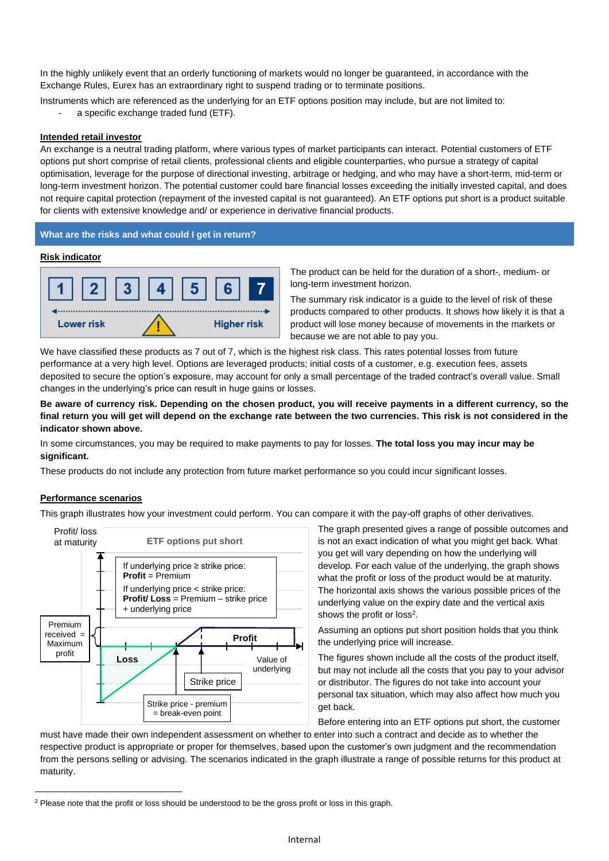In the highly unlikely event that an orderly functioning of markets would no longer be guaranteed, in accordance with the Exchange Rules, Eurex has an extraordinary right to suspend trading or to terminate positions.

Instruments which are referenced as the underlying for an ETF options position may include, but are not limited to:

a specific exchange traded fund (ETF).

### **Intended retail investor**

An exchange is a neutral trading platform, where various types of market participants can interact. Potential customers of ETF options put short comprise of retail clients, professional clients and eligible counterparties, who pursue a strategy of capital optimisation, leverage for the purpose of directional investing, arbitrage or hedging, and who may have a short-term, mid-term or long-term investment horizon. The potential customer could bare financial losses exceeding the initially invested capital, and does not require capital protection (repayment of the invested capital is not guaranteed). An ETF options put short is a product suitable for clients with extensive knowledge and/ or experience in derivative financial products.

### **What are the risks and what could I get in return?**

#### **Risk indicator**



The product can be held for the duration of a short-, medium- or long-term investment horizon.

The summary risk indicator is a guide to the level of risk of these products compared to other products. It shows how likely it is that a product will lose money because of movements in the markets or because we are not able to pay you.

We have classified these products as 7 out of 7, which is the highest risk class. This rates potential losses from future performance at a very high level. Options are leveraged products; initial costs of a customer, e.g. execution fees, assets deposited to secure the option's exposure, may account for only a small percentage of the traded contract's overall value. Small changes in the underlying's price can result in huge gains or losses.

**Be aware of currency risk. Depending on the chosen product, you will receive payments in a different currency, so the final return you will get will depend on the exchange rate between the two currencies. This risk is not considered in the indicator shown above.**

In some circumstances, you may be required to make payments to pay for losses. **The total loss you may incur may be significant.**

These products do not include any protection from future market performance so you could incur significant losses.

# **Performance scenarios**

This graph illustrates how your investment could perform. You can compare it with the pay-off graphs of other derivatives.



The graph presented gives a range of possible outcomes and is not an exact indication of what you might get back. What you get will vary depending on how the underlying will develop. For each value of the underlying, the graph shows what the profit or loss of the product would be at maturity. The horizontal axis shows the various possible prices of the underlying value on the expiry date and the vertical axis shows the profit or  $loss<sup>2</sup>$ .

Assuming an options put short position holds that you think the underlying price will increase.

The figures shown include all the costs of the product itself, but may not include all the costs that you pay to your advisor or distributor. The figures do not take into account your personal tax situation, which may also affect how much you get back.

Before entering into an ETF options put short, the customer must have made their own independent assessment on whether to enter into such a contract and decide as to whether the

respective product is appropriate or proper for themselves, based upon the customer's own judgment and the recommendation from the persons selling or advising. The scenarios indicated in the graph illustrate a range of possible returns for this product at maturity.

<sup>&</sup>lt;sup>2</sup> Please note that the profit or loss should be understood to be the gross profit or loss in this graph.